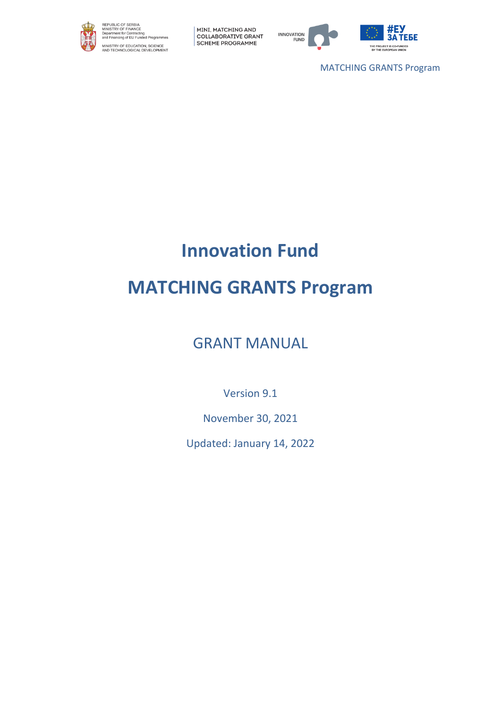



MATCHING GRANTS Program

# **Innovation Fund**

# **MATCHING GRANTS Program**

GRANT MANUAL

Version 9.1

November 30, 2021

Updated: January 14, 2022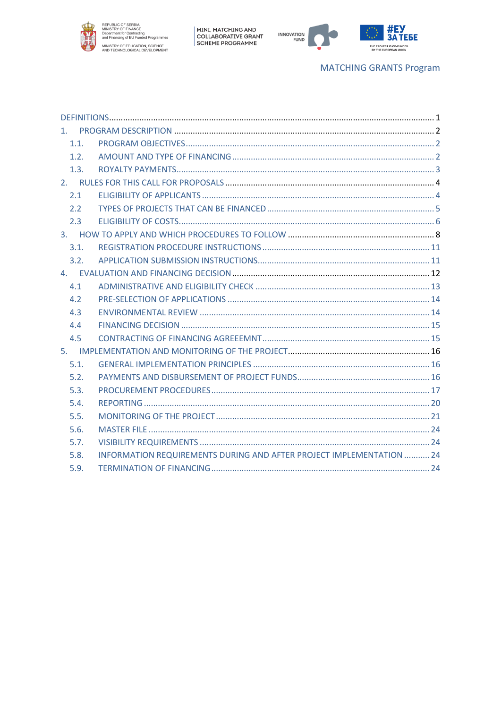



# **MATCHING GRANTS Program**

| 1.1. |                                                                      |  |
|------|----------------------------------------------------------------------|--|
| 1.2. |                                                                      |  |
| 1.3. |                                                                      |  |
|      |                                                                      |  |
| 2.1  |                                                                      |  |
| 2.2  |                                                                      |  |
| 2.3  |                                                                      |  |
|      |                                                                      |  |
| 3.1. |                                                                      |  |
| 3.2. |                                                                      |  |
|      |                                                                      |  |
| 4.1  |                                                                      |  |
| 4.2  |                                                                      |  |
| 4.3  |                                                                      |  |
| 4.4  |                                                                      |  |
| 4.5  |                                                                      |  |
|      |                                                                      |  |
| 5.1. |                                                                      |  |
| 5.2. |                                                                      |  |
| 5.3. |                                                                      |  |
| 5.4. |                                                                      |  |
| 5.5. |                                                                      |  |
| 5.6. |                                                                      |  |
| 5.7. |                                                                      |  |
| 5.8. | INFORMATION REQUIREMENTS DURING AND AFTER PROJECT IMPLEMENTATION  24 |  |
| 5.9. |                                                                      |  |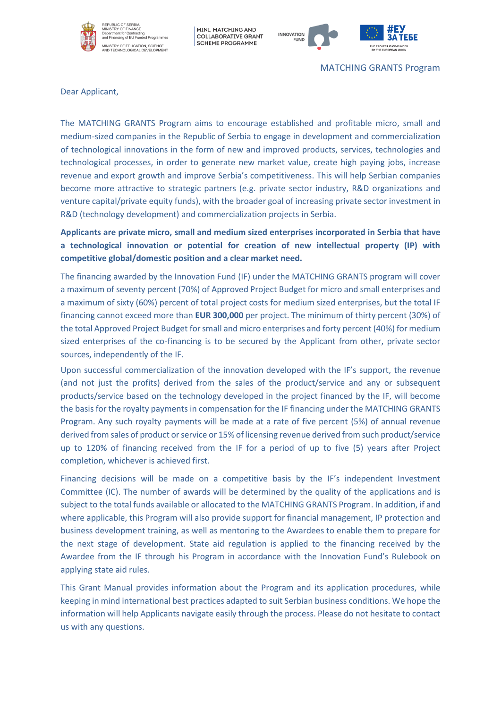



MATCHING GRANTS Program

Dear Applicant,

The MATCHING GRANTS Program aims to encourage established and profitable micro, small and medium-sized companies in the Republic of Serbia to engage in development and commercialization of technological innovations in the form of new and improved products, services, technologies and technological processes, in order to generate new market value, create high paying jobs, increase revenue and export growth and improve Serbia's competitiveness. This will help Serbian companies become more attractive to strategic partners (e.g. private sector industry, R&D organizations and venture capital/private equity funds), with the broader goal of increasing private sector investment in R&D (technology development) and commercialization projects in Serbia.

**Applicants are private micro, small and medium sized enterprises incorporated in Serbia that have a technological innovation or potential for creation of new intellectual property (IP) with competitive global/domestic position and a clear market need.** 

The financing awarded by the Innovation Fund (IF) under the MATCHING GRANTS program will cover a maximum of seventy percent (70%) of Approved Project Budget for micro and small enterprises and a maximum of sixty (60%) percent of total project costs for medium sized enterprises, but the total IF financing cannot exceed more than **EUR 300,000** per project. The minimum of thirty percent (30%) of the total Approved Project Budget for small and micro enterprises and forty percent (40%) for medium sized enterprises of the co-financing is to be secured by the Applicant from other, private sector sources, independently of the IF.

Upon successful commercialization of the innovation developed with the IF's support, the revenue (and not just the profits) derived from the sales of the product/service and any or subsequent products/service based on the technology developed in the project financed by the IF, will become the basis for the royalty payments in compensation for the IF financing under the MATCHING GRANTS Program. Any such royalty payments will be made at a rate of five percent (5%) of annual revenue derived from sales of product or service or 15% of licensing revenue derived from such product/service up to 120% of financing received from the IF for a period of up to five (5) years after Project completion, whichever is achieved first.

Financing decisions will be made on a competitive basis by the IF's independent Investment Committee (IC). The number of awards will be determined by the quality of the applications and is subject to the total funds available or allocated to the MATCHING GRANTS Program. In addition, if and where applicable, this Program will also provide support for financial management, IP protection and business development training, as well as mentoring to the Awardees to enable them to prepare for the next stage of development. State aid regulation is applied to the financing received by the Awardee from the IF through his Program in accordance with the Innovation Fund's Rulebook on applying state aid rules.

This Grant Manual provides information about the Program and its application procedures, while keeping in mind international best practices adapted to suit Serbian business conditions. We hope the information will help Applicants navigate easily through the process. Please do not hesitate to contact us with any questions.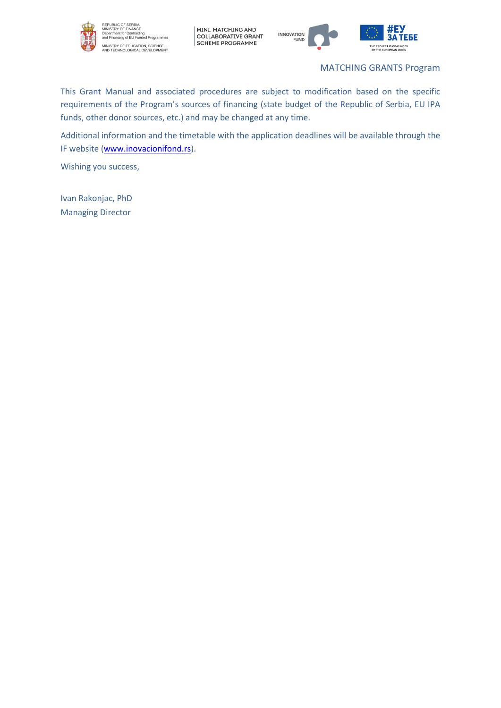

REPUBLIC OF SERBIA<br>MINISTRY OF FINANCE<br>Department for Contracting<br>and Financing of EU Funded Programmes MINISTRY OF EDUCATION, SCIENCE<br>AND TECHNOLOGICAL DEVELOPMENT

MINI, MATCHING AND<br>| COLLABORATIVE GRANT<br>| SCHEME PROGRAMME



MATCHING GRANTS Program

This Grant Manual and associated procedures are subject to modification based on the specific requirements of the Program's sources of financing (state budget of the Republic of Serbia, EU IPA funds, other donor sources, etc.) and may be changed at any time.

Additional information and the timetable with the application deadlines will be available through the IF website [\(www.inovacionifond.rs\)](http://www.inovacionifond.rs/).

Wishing you success,

Ivan Rakonjac, PhD Managing Director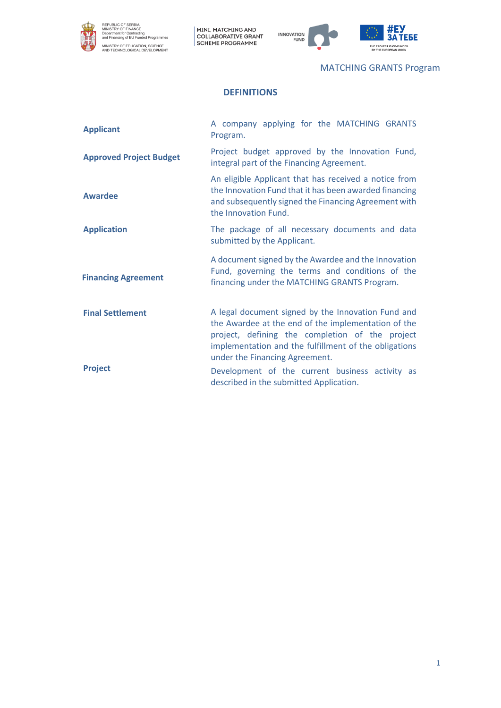



MATCHING GRANTS Program

# **DEFINITIONS**

<span id="page-4-0"></span>

| <b>Applicant</b>               | A company applying for the MATCHING GRANTS<br>Program.                                                                                                                                                                                                  |  |  |
|--------------------------------|---------------------------------------------------------------------------------------------------------------------------------------------------------------------------------------------------------------------------------------------------------|--|--|
| <b>Approved Project Budget</b> | Project budget approved by the Innovation Fund,<br>integral part of the Financing Agreement.                                                                                                                                                            |  |  |
| <b>Awardee</b>                 | An eligible Applicant that has received a notice from<br>the Innovation Fund that it has been awarded financing<br>and subsequently signed the Financing Agreement with<br>the Innovation Fund.                                                         |  |  |
| <b>Application</b>             | The package of all necessary documents and data<br>submitted by the Applicant.                                                                                                                                                                          |  |  |
| <b>Financing Agreement</b>     | A document signed by the Awardee and the Innovation<br>Fund, governing the terms and conditions of the<br>financing under the MATCHING GRANTS Program.                                                                                                  |  |  |
| <b>Final Settlement</b>        | A legal document signed by the Innovation Fund and<br>the Awardee at the end of the implementation of the<br>project, defining the completion of the project<br>implementation and the fulfillment of the obligations<br>under the Financing Agreement. |  |  |
| <b>Project</b>                 | Development of the current business activity as<br>described in the submitted Application.                                                                                                                                                              |  |  |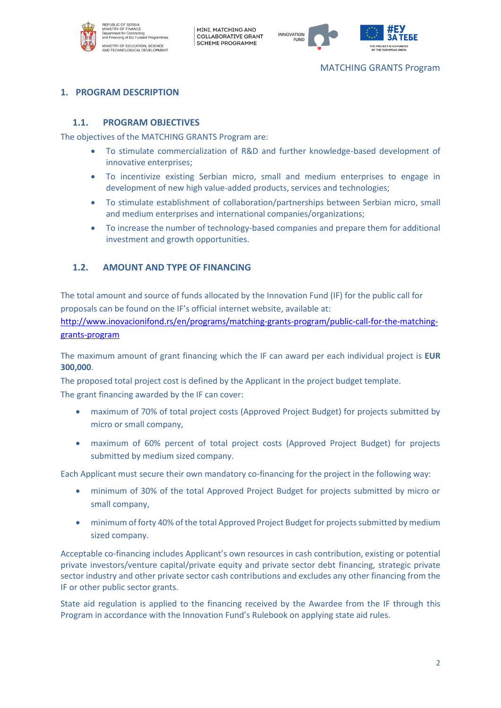



# <span id="page-5-0"></span>**1. PROGRAM DESCRIPTION**

#### <span id="page-5-1"></span>**1.1. PROGRAM OBJECTIVES**

The objectives of the MATCHING GRANTS Program are:

- To stimulate commercialization of R&D and further knowledge-based development of innovative enterprises;
- To incentivize existing Serbian micro, small and medium enterprises to engage in development of new high value-added products, services and technologies;
- To stimulate establishment of collaboration/partnerships between Serbian micro, small and medium enterprises and international companies/organizations;
- To increase the number of technology-based companies and prepare them for additional investment and growth opportunities.

#### <span id="page-5-2"></span>**1.2. AMOUNT AND TYPE OF FINANCING**

The total amount and source of funds allocated by the Innovation Fund (IF) for the public call for proposals can be found on the IF's official internet website, available at:

[http://www.inovacionifond.rs/en/programs/matching-grants-program/public-call-for-the-matching](http://www.inovacionifond.rs/en/programs/matching-grants-program/public-call-for-the-matching-grants-program)[grants-program](http://www.inovacionifond.rs/en/programs/matching-grants-program/public-call-for-the-matching-grants-program)

The maximum amount of grant financing which the IF can award per each individual project is **EUR 300,000**.

The proposed total project cost is defined by the Applicant in the project budget template. The grant financing awarded by the IF can cover:

- maximum of 70% of total project costs (Approved Project Budget) for projects submitted by micro or small company,
- maximum of 60% percent of total project costs (Approved Project Budget) for projects submitted by medium sized company.

Each Applicant must secure their own mandatory co-financing for the project in the following way:

- minimum of 30% of the total Approved Project Budget for projects submitted by micro or small company,
- minimum of forty 40% of the total Approved Project Budget for projects submitted by medium sized company.

Acceptable co-financing includes Applicant's own resources in cash contribution, existing or potential private investors/venture capital/private equity and private sector debt financing, strategic private sector industry and other private sector cash contributions and excludes any other financing from the IF or other public sector grants.

State aid regulation is applied to the financing received by the Awardee from the IF through this Program in accordance with the Innovation Fund's Rulebook on applying state aid rules.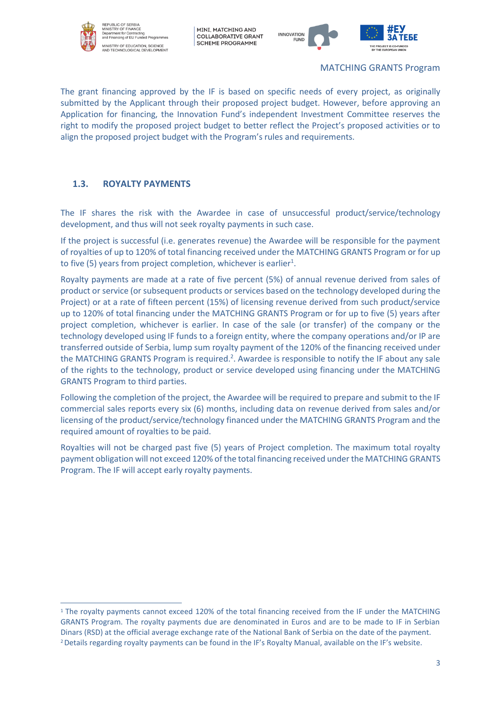



MATCHING GRANTS Program

The grant financing approved by the IF is based on specific needs of every project, as originally submitted by the Applicant through their proposed project budget. However, before approving an Application for financing, the Innovation Fund's independent Investment Committee reserves the right to modify the proposed project budget to better reflect the Project's proposed activities or to align the proposed project budget with the Program's rules and requirements.

# <span id="page-6-0"></span>**1.3. ROYALTY PAYMENTS**

The IF shares the risk with the Awardee in case of unsuccessful product/service/technology development, and thus will not seek royalty payments in such case.

If the project is successful (i.e. generates revenue) the Awardee will be responsible for the payment of royalties of up to 120% of total financing received under the MATCHING GRANTS Program or for up to five (5) years from project completion, whichever is earlier<sup>1</sup>.

Royalty payments are made at a rate of five percent (5%) of annual revenue derived from sales of product or service (or subsequent products or services based on the technology developed during the Project) or at a rate of fifteen percent (15%) of licensing revenue derived from such product/service up to 120% of total financing under the MATCHING GRANTS Program or for up to five (5) years after project completion, whichever is earlier. In case of the sale (or transfer) of the company or the technology developed using IF funds to a foreign entity, where the company operations and/or IP are transferred outside of Serbia, lump sum royalty payment of the 120% of the financing received under the MATCHING GRANTS Program is required.<sup>2</sup>. Awardee is responsible to notify the IF about any sale of the rights to the technology, product or service developed using financing under the MATCHING GRANTS Program to third parties.

Following the completion of the project, the Awardee will be required to prepare and submit to the IF commercial sales reports every six (6) months, including data on revenue derived from sales and/or licensing of the product/service/technology financed under the MATCHING GRANTS Program and the required amount of royalties to be paid.

Royalties will not be charged past five (5) years of Project completion. The maximum total royalty payment obligation will not exceed 120% of the total financing received under the MATCHING GRANTS Program. The IF will accept early royalty payments.

<sup>&</sup>lt;sup>1</sup> The royalty payments cannot exceed 120% of the total financing received from the IF under the MATCHING GRANTS Program. The royalty payments due are denominated in Euros and are to be made to IF in Serbian Dinars (RSD) at the official average exchange rate of the National Bank of Serbia on the date of the payment. 2Details regarding royalty payments can be found in the IF's Royalty Manual, available on the IF's website.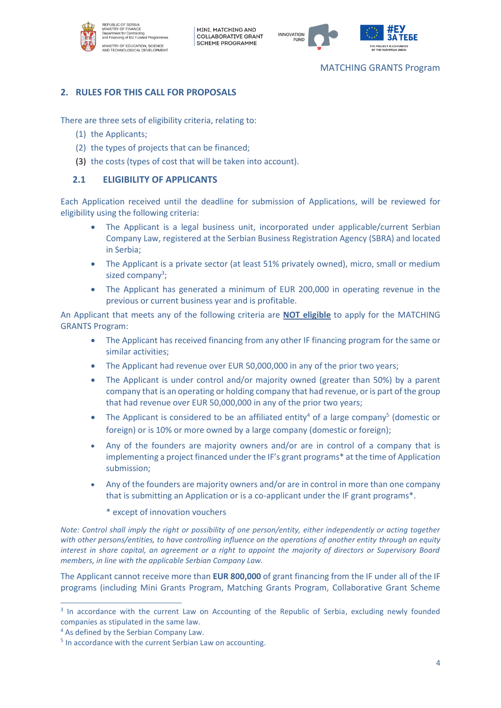



#### MATCHING GRANTS Program

# <span id="page-7-0"></span>**2. RULES FOR THIS CALL FOR PROPOSALS**

There are three sets of eligibility criteria, relating to:

- (1) the Applicants;
- (2) the types of projects that can be financed;
- <span id="page-7-1"></span>(3) the costs (types of cost that will be taken into account).

### **2.1 ELIGIBILITY OF APPLICANTS**

Each Application received until the deadline for submission of Applications, will be reviewed for eligibility using the following criteria:

- The Applicant is a legal business unit, incorporated under applicable/current Serbian Company Law, registered at the Serbian Business Registration Agency (SBRA) and located in Serbia;
- The Applicant is a private sector (at least 51% privately owned), micro, small or medium sized company<sup>3</sup>;
- The Applicant has generated a minimum of EUR 200,000 in operating revenue in the previous or current business year and is profitable.

An Applicant that meets any of the following criteria are **NOT eligible** to apply for the MATCHING GRANTS Program:

- The Applicant has received financing from any other IF financing program for the same or similar activities;
- The Applicant had revenue over EUR 50,000,000 in any of the prior two years;
- The Applicant is under control and/or majority owned (greater than 50%) by a parent company that is an operating or holding company that had revenue, or is part of the group that had revenue over EUR 50,000,000 in any of the prior two years;
- The Applicant is considered to be an affiliated entity<sup>4</sup> of a large company<sup>5</sup> (domestic or foreign) or is 10% or more owned by a large company (domestic or foreign);
- Any of the founders are majority owners and/or are in control of a company that is implementing a project financed under the IF's grant programs\* at the time of Application submission;
- Any of the founders are majority owners and/or are in control in more than one company that is submitting an Application or is a co-applicant under the IF grant programs\*.
	- \* except of innovation vouchers

*Note: Control shall imply the right or possibility of one person/entity, either independently or acting together with other persons/entities, to have controlling influence on the operations of another entity through an equity interest in share capital, an agreement or a right to appoint the majority of directors or Supervisory Board members, in line with the applicable Serbian Company Law.*

The Applicant cannot receive more than **EUR 800,000** of grant financing from the IF under all of the IF programs (including Mini Grants Program, Matching Grants Program, Collaborative Grant Scheme

<sup>&</sup>lt;sup>3</sup> In accordance with the current Law on Accounting of the Republic of Serbia, excluding newly founded companies as stipulated in the same law.

<sup>4</sup> As defined by the Serbian Company Law.

<sup>5</sup> In accordance with the current Serbian Law on accounting.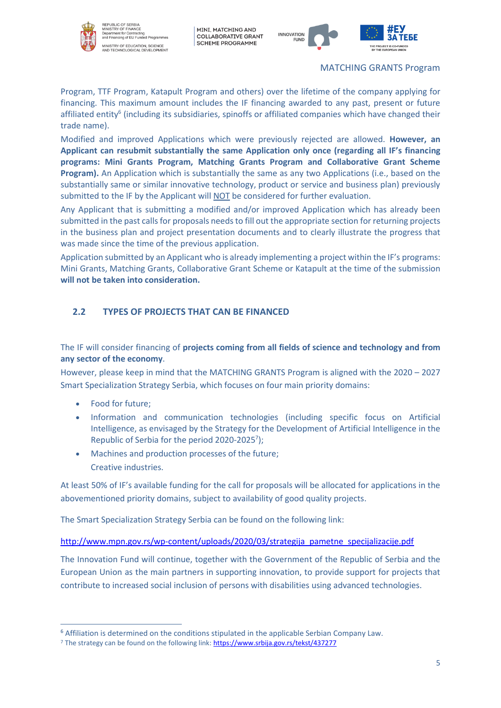



MATCHING GRANTS Program

Program, TTF Program, Katapult Program and others) over the lifetime of the company applying for financing. This maximum amount includes the IF financing awarded to any past, present or future affiliated entity<sup>6</sup> (including its subsidiaries, spinoffs or affiliated companies which have changed their trade name).

Modified and improved Applications which were previously rejected are allowed. **However, an Applicant can resubmit substantially the same Application only once (regarding all IF's financing programs: Mini Grants Program, Matching Grants Program and Collaborative Grant Scheme Program).** An Application which is substantially the same as any two Applications (i.e., based on the substantially same or similar innovative technology, product or service and business plan) previously submitted to the IF by the Applicant will NOT be considered for further evaluation.

Any Applicant that is submitting a modified and/or improved Application which has already been submitted in the past calls for proposals needs to fill out the appropriate section for returning projects in the business plan and project presentation documents and to clearly illustrate the progress that was made since the time of the previous application.

Application submitted by an Applicant who is already implementing a project within the IF's programs: Mini Grants, Matching Grants, Collaborative Grant Scheme or Katapult at the time of the submission **will not be taken into consideration.**

# <span id="page-8-0"></span>**2.2 TYPES OF PROJECTS THAT CAN BE FINANCED**

The IF will consider financing of **projects coming from all fields of science and technology and from any sector of the economy**.

However, please keep in mind that the MATCHING GRANTS Program is aligned with the 2020 – 2027 Smart Specialization Strategy Serbia, which focuses on four main priority domains:

- Food for future;
- Information and communication technologies (including specific focus on Artificial Intelligence, as envisaged by the Strategy for the Development of Artificial Intelligence in the Republic of Serbia for the period 2020-2025 $\frac{7}{1}$ ;
- Machines and production processes of the future; Creative industries.

At least 50% of IF's available funding for the call for proposals will be allocated for applications in the abovementioned priority domains, subject to availability of good quality projects.

The Smart Specialization Strategy Serbia can be found on the following link:

[http://www.mpn.gov.rs/wp-content/uploads/2020/03/strategija\\_pametne\\_specijalizacije.pdf](http://www.mpn.gov.rs/wp-content/uploads/2020/03/strategija_pametne_specijalizacije.pdf)

The Innovation Fund will continue, together with the Government of the Republic of Serbia and the European Union as the main partners in supporting innovation, to provide support for projects that contribute to increased social inclusion of persons with disabilities using advanced technologies.

<sup>&</sup>lt;sup>6</sup> Affiliation is determined on the conditions stipulated in the applicable Serbian Company Law.

<sup>&</sup>lt;sup>7</sup> The strategy can be found on the following link[: https://www.srbija.gov.rs/tekst/437277](https://www.srbija.gov.rs/tekst/437277)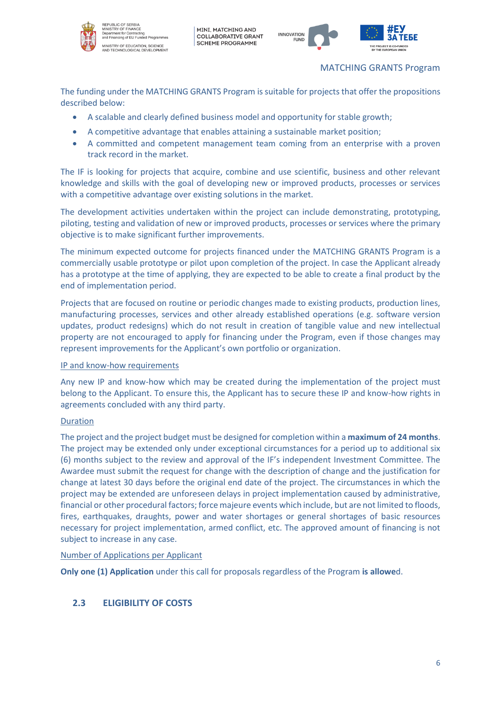



#### MATCHING GRANTS Program

The funding under the MATCHING GRANTS Program is suitable for projects that offer the propositions described below:

- A scalable and clearly defined business model and opportunity for stable growth;
- A competitive advantage that enables attaining a sustainable market position;
- A committed and competent management team coming from an enterprise with a proven track record in the market.

The IF is looking for projects that acquire, combine and use scientific, business and other relevant knowledge and skills with the goal of developing new or improved products, processes or services with a competitive advantage over existing solutions in the market.

The development activities undertaken within the project can include demonstrating, prototyping, piloting, testing and validation of new or improved products, processes or services where the primary objective is to make significant further improvements.

The minimum expected outcome for projects financed under the MATCHING GRANTS Program is a commercially usable prototype or pilot upon completion of the project. In case the Applicant already has a prototype at the time of applying, they are expected to be able to create a final product by the end of implementation period.

Projects that are focused on routine or periodic changes made to existing products, production lines, manufacturing processes, services and other already established operations (e.g. software version updates, product redesigns) which do not result in creation of tangible value and new intellectual property are not encouraged to apply for financing under the Program, even if those changes may represent improvements for the Applicant's own portfolio or organization.

#### IP and know-how requirements

Any new IP and know-how which may be created during the implementation of the project must belong to the Applicant. To ensure this, the Applicant has to secure these IP and know-how rights in agreements concluded with any third party.

#### Duration

The project and the project budget must be designed for completion within a **maximum of 24 months**. The project may be extended only under exceptional circumstances for a period up to additional six (6) months subject to the review and approval of the IF's independent Investment Committee. The Awardee must submit the request for change with the description of change and the justification for change at latest 30 days before the original end date of the project. The circumstances in which the project may be extended are unforeseen delays in project implementation caused by administrative, financial or other procedural factors; force majeure events which include, but are not limited to floods, fires, earthquakes, draughts, power and water shortages or general shortages of basic resources necessary for project implementation, armed conflict, etc. The approved amount of financing is not subject to increase in any case.

Number of Applications per Applicant

**Only one (1) Application** under this call for proposals regardless of the Program **is allowe**d.

# <span id="page-9-0"></span>**2.3 ELIGIBILITY OF COSTS**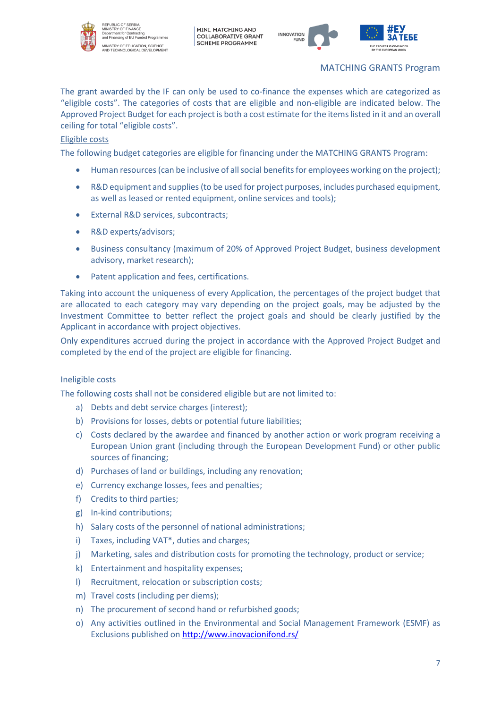



MATCHING GRANTS Program

The grant awarded by the IF can only be used to co-finance the expenses which are categorized as "eligible costs". The categories of costs that are eligible and non-eligible are indicated below. The Approved Project Budget for each project is both a cost estimate for the items listed in it and an overall ceiling for total "eligible costs".

#### Eligible costs

The following budget categories are eligible for financing under the MATCHING GRANTS Program:

- Human resources (can be inclusive of all social benefits for employees working on the project);
- R&D equipment and supplies (to be used for project purposes, includes purchased equipment, as well as leased or rented equipment, online services and tools);
- External R&D services, subcontracts;
- R&D experts/advisors:
- Business consultancy (maximum of 20% of Approved Project Budget, business development advisory, market research);
- Patent application and fees, certifications.

Taking into account the uniqueness of every Application, the percentages of the project budget that are allocated to each category may vary depending on the project goals, may be adjusted by the Investment Committee to better reflect the project goals and should be clearly justified by the Applicant in accordance with project objectives.

Only expenditures accrued during the project in accordance with the Approved Project Budget and completed by the end of the project are eligible for financing.

#### Ineligible costs

The following costs shall not be considered eligible but are not limited to:

- a) Debts and debt service charges (interest);
- b) Provisions for losses, debts or potential future liabilities;
- c) Costs declared by the awardee and financed by another action or work program receiving a European Union grant (including through the European Development Fund) or other public sources of financing;
- d) Purchases of land or buildings, including any renovation;
- e) Currency exchange losses, fees and penalties;
- f) Credits to third parties;
- g) In-kind contributions;
- h) Salary costs of the personnel of national administrations;
- i) Taxes, including VAT\*, duties and charges;
- j) Marketing, sales and distribution costs for promoting the technology, product or service;
- k) Entertainment and hospitality expenses;
- l) Recruitment, relocation or subscription costs;
- m) Travel costs (including per diems);
- n) The procurement of second hand or refurbished goods;
- o) Any activities outlined in the Environmental and Social Management Framework (ESMF) as Exclusions published on <http://www.inovacionifond.rs/>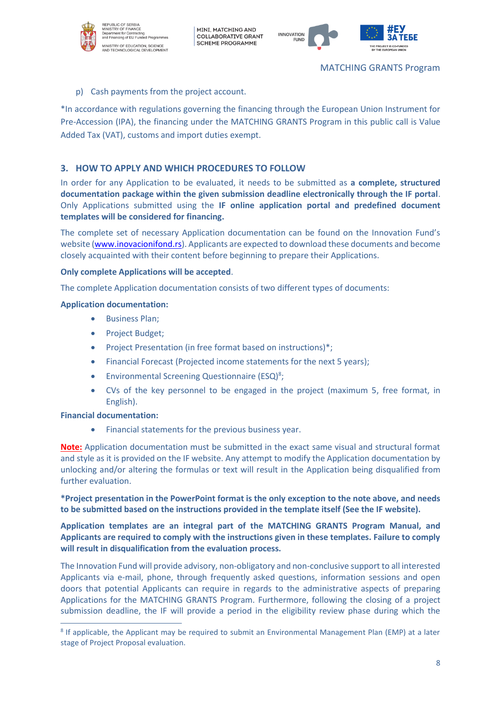



#### p) Cash payments from the project account.

\*In accordance with regulations governing the financing through the European Union Instrument for Pre-Accession (IPA), the financing under the MATCHING GRANTS Program in this public call is Value Added Tax (VAT), customs and import duties exempt.

# <span id="page-11-0"></span>**3. HOW TO APPLY AND WHICH PROCEDURES TO FOLLOW**

In order for any Application to be evaluated, it needs to be submitted as **a complete, structured documentation package within the given submission deadline electronically through the IF portal**. Only Applications submitted using the **IF online application portal and predefined document templates will be considered for financing.**

The complete set of necessary Application documentation can be found on the Innovation Fund's website [\(www.inovacionifond.rs\)](http://www.inovacionifond.rs/). Applicants are expected to download these documents and become closely acquainted with their content before beginning to prepare their Applications.

#### **Only complete Applications will be accepted**.

The complete Application documentation consists of two different types of documents:

#### **Application documentation:**

- Business Plan;
- Project Budget;
- Project Presentation (in free format based on instructions)\*;
- Financial Forecast (Projected income statements for the next 5 years);
- Environmental Screening Questionnaire (ESQ)<sup>8</sup>;
- CVs of the key personnel to be engaged in the project (maximum 5, free format, in English).

#### **Financial documentation:**

• Financial statements for the previous business year.

**Note:** Application documentation must be submitted in the exact same visual and structural format and style as it is provided on the IF website. Any attempt to modify the Application documentation by unlocking and/or altering the formulas or text will result in the Application being disqualified from further evaluation.

**\*Project presentation in the PowerPoint format is the only exception to the note above, and needs to be submitted based on the instructions provided in the template itself (See the IF website).**

**Application templates are an integral part of the MATCHING GRANTS Program Manual, and Applicants are required to comply with the instructions given in these templates. Failure to comply will result in disqualification from the evaluation process.** 

The Innovation Fund will provide advisory, non-obligatory and non-conclusive support to all interested Applicants via e-mail, phone, through frequently asked questions, information sessions and open doors that potential Applicants can require in regards to the administrative aspects of preparing Applications for the MATCHING GRANTS Program. Furthermore, following the closing of a project submission deadline, the IF will provide a period in the eligibility review phase during which the

<sup>&</sup>lt;sup>8</sup> If applicable, the Applicant may be required to submit an Environmental Management Plan (EMP) at a later stage of Project Proposal evaluation.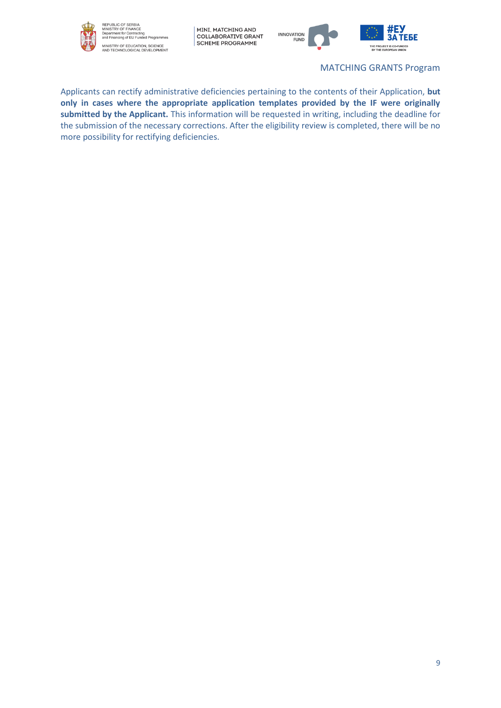



MATCHING GRANTS Program

Applicants can rectify administrative deficiencies pertaining to the contents of their Application, **but only in cases where the appropriate application templates provided by the IF were originally submitted by the Applicant.** This information will be requested in writing, including the deadline for the submission of the necessary corrections. After the eligibility review is completed, there will be no more possibility for rectifying deficiencies.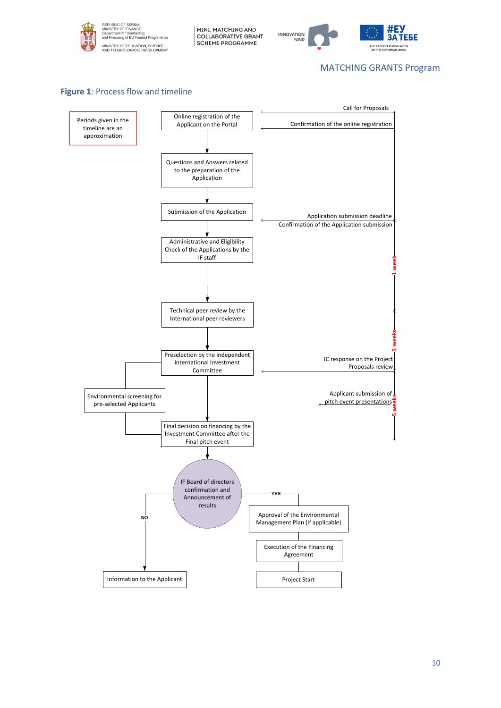

MINI, MATCHING AND<br>| COLLABORATIVE GRANT<br>| SCHEME PROGRAMME



#### MATCHING GRANTS Program



#### **Figure 1: Process flow and timeline**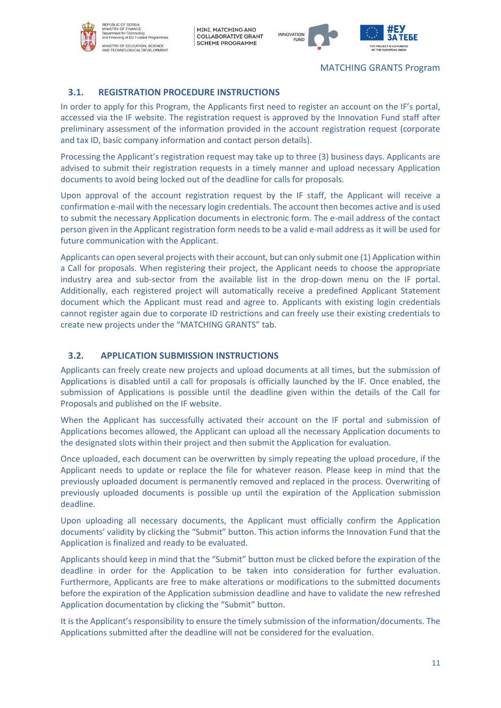



#### MATCHING GRANTS Program

# <span id="page-14-0"></span>**3.1. REGISTRATION PROCEDURE INSTRUCTIONS**

In order to apply for this Program, the Applicants first need to register an account on the IF's portal, accessed via the IF website. The registration request is approved by the Innovation Fund staff after preliminary assessment of the information provided in the account registration request (corporate and tax ID, basic company information and contact person details).

Processing the Applicant's registration request may take up to three (3) business days. Applicants are advised to submit their registration requests in a timely manner and upload necessary Application documents to avoid being locked out of the deadline for calls for proposals.

Upon approval of the account registration request by the IF staff, the Applicant will receive a confirmation e-mail with the necessary login credentials. The account then becomes active and is used to submit the necessary Application documents in electronic form. The e-mail address of the contact person given in the Applicant registration form needs to be a valid e-mail address as it will be used for future communication with the Applicant.

Applicants can open several projects with their account, but can only submit one (1) Application within a Call for proposals. When registering their project, the Applicant needs to choose the appropriate industry area and sub-sector from the available list in the drop-down menu on the IF portal. Additionally, each registered project will automatically receive a predefined Applicant Statement document which the Applicant must read and agree to. Applicants with existing login credentials cannot register again due to corporate ID restrictions and can freely use their existing credentials to create new projects under the "MATCHING GRANTS" tab.

# <span id="page-14-1"></span>**3.2. APPLICATION SUBMISSION INSTRUCTIONS**

Applicants can freely create new projects and upload documents at all times, but the submission of Applications is disabled until a call for proposals is officially launched by the IF. Once enabled, the submission of Applications is possible until the deadline given within the details of the Call for Proposals and published on the IF website.

When the Applicant has successfully activated their account on the IF portal and submission of Applications becomes allowed, the Applicant can upload all the necessary Application documents to the designated slots within their project and then submit the Application for evaluation.

Once uploaded, each document can be overwritten by simply repeating the upload procedure, if the Applicant needs to update or replace the file for whatever reason. Please keep in mind that the previously uploaded document is permanently removed and replaced in the process. Overwriting of previously uploaded documents is possible up until the expiration of the Application submission deadline.

Upon uploading all necessary documents, the Applicant must officially confirm the Application documents' validity by clicking the "Submit" button. This action informs the Innovation Fund that the Application is finalized and ready to be evaluated.

Applicants should keep in mind that the "Submit" button must be clicked before the expiration of the deadline in order for the Application to be taken into consideration for further evaluation. Furthermore, Applicants are free to make alterations or modifications to the submitted documents before the expiration of the Application submission deadline and have to validate the new refreshed Application documentation by clicking the "Submit" button.

It is the Applicant's responsibility to ensure the timely submission of the information/documents. The Applications submitted after the deadline will not be considered for the evaluation.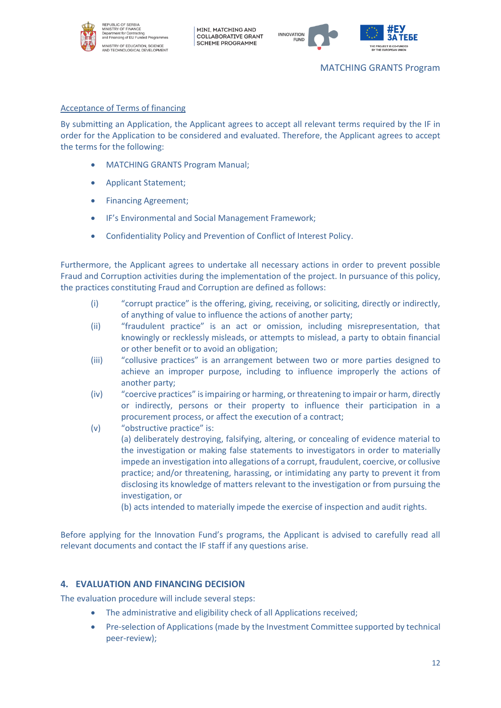



#### Acceptance of Terms of financing

By submitting an Application, the Applicant agrees to accept all relevant terms required by the IF in order for the Application to be considered and evaluated. Therefore, the Applicant agrees to accept the terms for the following:

- MATCHING GRANTS Program Manual;
- Applicant Statement;
- Financing Agreement;
- IF's Environmental and Social Management Framework;
- Confidentiality Policy and Prevention of Conflict of Interest Policy.

Furthermore, the Applicant agrees to undertake all necessary actions in order to prevent possible Fraud and Corruption activities during the implementation of the project. In pursuance of this policy, the practices constituting Fraud and Corruption are defined as follows:

- (i) "corrupt practice" is the offering, giving, receiving, or soliciting, directly or indirectly, of anything of value to influence the actions of another party;
- (ii) "fraudulent practice" is an act or omission, including misrepresentation, that knowingly or recklessly misleads, or attempts to mislead, a party to obtain financial or other benefit or to avoid an obligation;
- (iii) "collusive practices" is an arrangement between two or more parties designed to achieve an improper purpose, including to influence improperly the actions of another party;
- (iv) "coercive practices" is impairing or harming, or threatening to impair or harm, directly or indirectly, persons or their property to influence their participation in a procurement process, or affect the execution of a contract;
- (v) "obstructive practice" is: (a) deliberately destroying, falsifying, altering, or concealing of evidence material to the investigation or making false statements to investigators in order to materially impede an investigation into allegations of a corrupt, fraudulent, coercive, or collusive practice; and/or threatening, harassing, or intimidating any party to prevent it from disclosing its knowledge of matters relevant to the investigation or from pursuing the investigation, or

(b) acts intended to materially impede the exercise of inspection and audit rights.

Before applying for the Innovation Fund's programs, the Applicant is advised to carefully read all relevant documents and contact the IF staff if any questions arise.

# <span id="page-15-0"></span>**4. EVALUATION AND FINANCING DECISION**

The evaluation procedure will include several steps:

- The administrative and eligibility check of all Applications received;
- Pre-selection of Applications (made by the Investment Committee supported by technical peer-review);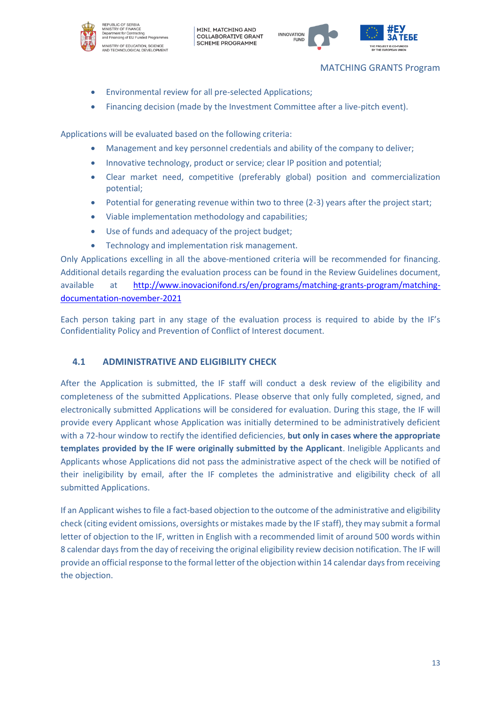



#### MATCHING GRANTS Program

- Environmental review for all pre-selected Applications;
- Financing decision (made by the Investment Committee after a live-pitch event).

Applications will be evaluated based on the following criteria:

- Management and key personnel credentials and ability of the company to deliver;
- Innovative technology, product or service; clear IP position and potential;
- Clear market need, competitive (preferably global) position and commercialization potential;
- Potential for generating revenue within two to three (2-3) years after the project start;
- Viable implementation methodology and capabilities;
- Use of funds and adequacy of the project budget;
- Technology and implementation risk management.

Only Applications excelling in all the above-mentioned criteria will be recommended for financing. Additional details regarding the evaluation process can be found in the Review Guidelines document, available at [http://www.inovacionifond.rs/en/programs/matching-grants-program/matching](http://www.inovacionifond.rs/en/programs/matching-grants-program/matching-documentation-november-2021)[documentation-november-2021](http://www.inovacionifond.rs/en/programs/matching-grants-program/matching-documentation-november-2021)

Each person taking part in any stage of the evaluation process is required to abide by the IF's Confidentiality Policy and Prevention of Conflict of Interest document.

# <span id="page-16-0"></span>**4.1 ADMINISTRATIVE AND ELIGIBILITY CHECK**

After the Application is submitted, the IF staff will conduct a desk review of the eligibility and completeness of the submitted Applications. Please observe that only fully completed, signed, and electronically submitted Applications will be considered for evaluation. During this stage, the IF will provide every Applicant whose Application was initially determined to be administratively deficient with a 72-hour window to rectify the identified deficiencies, **but only in cases where the appropriate templates provided by the IF were originally submitted by the Applicant**. Ineligible Applicants and Applicants whose Applications did not pass the administrative aspect of the check will be notified of their ineligibility by email, after the IF completes the administrative and eligibility check of all submitted Applications.

If an Applicant wishes to file a fact-based objection to the outcome of the administrative and eligibility check (citing evident omissions, oversights or mistakes made by the IF staff), they may submit a formal letter of objection to the IF, written in English with a recommended limit of around 500 words within 8 calendar days from the day of receiving the original eligibility review decision notification. The IF will provide an official response to the formal letter of the objection within 14 calendar days from receiving the objection.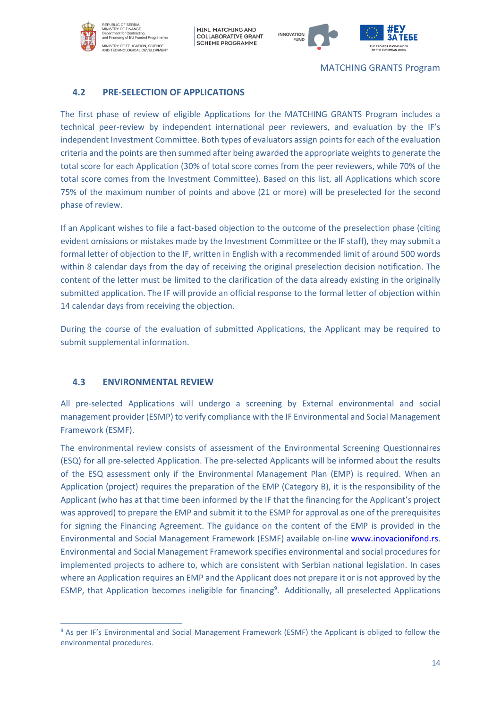REPUBLIC OF SERBIA<br>MINISTRY OF FINANCE<br>Department for Contracting<br>and Financing of EU Funde ,<br>... p. MINISTRY OF EDUCATION, SCIENCE<br>AND TECHNOLOGICAL DEVELOPMENT

MINI, MATCHING AND COLLABORATIVE GRANT **SCHEME PROGRAMME** 



MATCHING GRANTS Program

# <span id="page-17-0"></span>**4.2 PRE-SELECTION OF APPLICATIONS**

The first phase of review of eligible Applications for the MATCHING GRANTS Program includes a technical peer-review by independent international peer reviewers, and evaluation by the IF's independent Investment Committee. Both types of evaluators assign points for each of the evaluation criteria and the points are then summed after being awarded the appropriate weights to generate the total score for each Application (30% of total score comes from the peer reviewers, while 70% of the total score comes from the Investment Committee). Based on this list, all Applications which score 75% of the maximum number of points and above (21 or more) will be preselected for the second phase of review.

If an Applicant wishes to file a fact-based objection to the outcome of the preselection phase (citing evident omissions or mistakes made by the Investment Committee or the IF staff), they may submit a formal letter of objection to the IF, written in English with a recommended limit of around 500 words within 8 calendar days from the day of receiving the original preselection decision notification. The content of the letter must be limited to the clarification of the data already existing in the originally submitted application. The IF will provide an official response to the formal letter of objection within 14 calendar days from receiving the objection.

During the course of the evaluation of submitted Applications, the Applicant may be required to submit supplemental information.

# <span id="page-17-1"></span>**4.3 ENVIRONMENTAL REVIEW**

All pre-selected Applications will undergo a screening by External environmental and social management provider (ESMP) to verify compliance with the IF Environmental and Social Management Framework (ESMF).

The environmental review consists of assessment of the Environmental Screening Questionnaires (ESQ) for all pre-selected Application. The pre-selected Applicants will be informed about the results of the ESQ assessment only if the Environmental Management Plan (EMP) is required. When an Application (project) requires the preparation of the EMP (Category B), it is the responsibility of the Applicant (who has at that time been informed by the IF that the financing for the Applicant's project was approved) to prepare the EMP and submit it to the ESMP for approval as one of the prerequisites for signing the Financing Agreement. The guidance on the content of the EMP is provided in the Environmental and Social Management Framework (ESMF) available on-line [www.inovacionifond.rs.](http://www.inovacionifond.rs/) Environmental and Social Management Framework specifies environmental and social procedures for implemented projects to adhere to, which are consistent with Serbian national legislation. In cases where an Application requires an EMP and the Applicant does not prepare it or is not approved by the ESMP, that Application becomes ineligible for financing<sup>9</sup>. Additionally, all preselected Applications

<sup>9</sup> As per IF's Environmental and Social Management Framework (ESMF) the Applicant is obliged to follow the environmental procedures.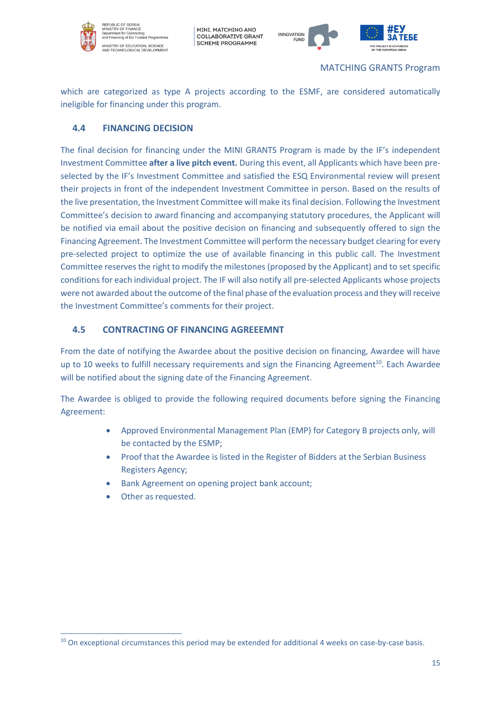

INISTRY OF EDUCATION, SCIENCE<br>ND TECHNOLOGICAL DEVELOPMEN'

MINI, MATCHING AND COLLABORATIVE GRANT SCHEME PROGRAMME



which are categorized as type A projects according to the ESMF, are considered automatically ineligible for financing under this program.

# <span id="page-18-0"></span>**4.4 FINANCING DECISION**

The final decision for financing under the MINI GRANTS Program is made by the IF's independent Investment Committee **after a live pitch event.** During this event, all Applicants which have been preselected by the IF's Investment Committee and satisfied the ESQ Environmental review will present their projects in front of the independent Investment Committee in person. Based on the results of the live presentation, the Investment Committee will make its final decision. Following the Investment Committee's decision to award financing and accompanying statutory procedures, the Applicant will be notified via email about the positive decision on financing and subsequently offered to sign the Financing Agreement. The Investment Committee will perform the necessary budget clearing for every pre-selected project to optimize the use of available financing in this public call. The Investment Committee reserves the right to modify the milestones (proposed by the Applicant) and to set specific conditions for each individual project. The IF will also notify all pre-selected Applicants whose projects were not awarded about the outcome of the final phase of the evaluation process and they will receive the Investment Committee's comments for their project.

# <span id="page-18-1"></span>**4.5 CONTRACTING OF FINANCING AGREEEMNT**

From the date of notifying the Awardee about the positive decision on financing, Awardee will have up to 10 weeks to fulfill necessary requirements and sign the Financing Agreement<sup>10</sup>. Each Awardee will be notified about the signing date of the Financing Agreement.

The Awardee is obliged to provide the following required documents before signing the Financing Agreement:

- Approved Environmental Management Plan (EMP) for Category B projects only, will be contacted by the ESMP;
- Proof that the Awardee is listed in the Register of Bidders at the Serbian Business Registers Agency;
- Bank Agreement on opening project bank account;
- Other as requested.

<sup>&</sup>lt;sup>10</sup> On exceptional circumstances this period may be extended for additional 4 weeks on case-by-case basis.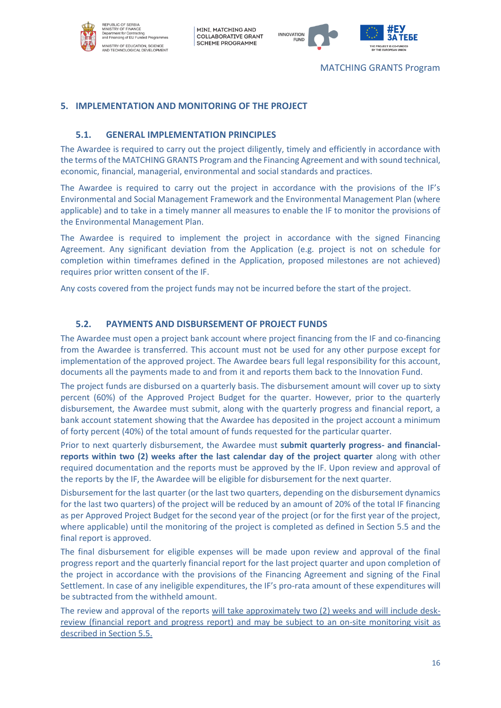



# <span id="page-19-0"></span>**5. IMPLEMENTATION AND MONITORING OF THE PROJECT**

#### **5.1. GENERAL IMPLEMENTATION PRINCIPLES**

<span id="page-19-1"></span>The Awardee is required to carry out the project diligently, timely and efficiently in accordance with the terms of the MATCHING GRANTS Program and the Financing Agreement and with sound technical, economic, financial, managerial, environmental and social standards and practices.

The Awardee is required to carry out the project in accordance with the provisions of the IF's Environmental and Social Management Framework and the Environmental Management Plan (where applicable) and to take in a timely manner all measures to enable the IF to monitor the provisions of the Environmental Management Plan.

The Awardee is required to implement the project in accordance with the signed Financing Agreement. Any significant deviation from the Application (e.g. project is not on schedule for completion within timeframes defined in the Application, proposed milestones are not achieved) requires prior written consent of the IF.

Any costs covered from the project funds may not be incurred before the start of the project.

#### **5.2. PAYMENTS AND DISBURSEMENT OF PROJECT FUNDS**

<span id="page-19-2"></span>The Awardee must open a project bank account where project financing from the IF and co-financing from the Awardee is transferred. This account must not be used for any other purpose except for implementation of the approved project. The Awardee bears full legal responsibility for this account, documents all the payments made to and from it and reports them back to the Innovation Fund.

The project funds are disbursed on a quarterly basis. The disbursement amount will cover up to sixty percent (60%) of the Approved Project Budget for the quarter. However, prior to the quarterly disbursement, the Awardee must submit, along with the quarterly progress and financial report, a bank account statement showing that the Awardee has deposited in the project account a minimum of forty percent (40%) of the total amount of funds requested for the particular quarter.

Prior to next quarterly disbursement, the Awardee must **submit quarterly progress- and financialreports within two (2) weeks after the last calendar day of the project quarter** along with other required documentation and the reports must be approved by the IF. Upon review and approval of the reports by the IF, the Awardee will be eligible for disbursement for the next quarter.

Disbursement for the last quarter (or the last two quarters, depending on the disbursement dynamics for the last two quarters) of the project will be reduced by an amount of 20% of the total IF financing as per Approved Project Budget for the second year of the project (or for the first year of the project, where applicable) until the monitoring of the project is completed as defined in Section 5.5 and the final report is approved.

The final disbursement for eligible expenses will be made upon review and approval of the final progress report and the quarterly financial report for the last project quarter and upon completion of the project in accordance with the provisions of the Financing Agreement and signing of the Final Settlement. In case of any ineligible expenditures, the IF's pro-rata amount of these expenditures will be subtracted from the withheld amount.

The review and approval of the reports will take approximately two (2) weeks and will include deskreview (financial report and progress report) and may be subject to an on-site monitoring visit as described in Section 5.5.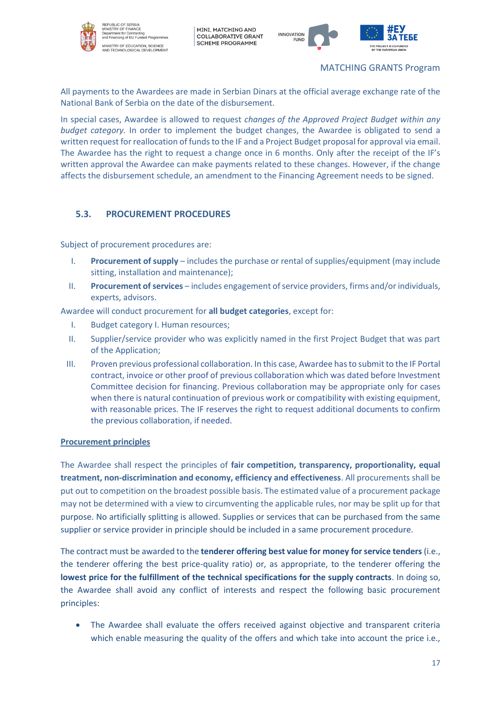



### MATCHING GRANTS Program

All payments to the Awardees are made in Serbian Dinars at the official average exchange rate of the National Bank of Serbia on the date of the disbursement.

In special cases, Awardee is allowed to request *changes of the Approved Project Budget within any budget category.* In order to implement the budget changes, the Awardee is obligated to send a written request for reallocation of funds to the IF and a Project Budget proposal for approval via email. The Awardee has the right to request a change once in 6 months. Only after the receipt of the IF's written approval the Awardee can make payments related to these changes. However, if the change affects the disbursement schedule, an amendment to the Financing Agreement needs to be signed.

# <span id="page-20-0"></span>**5.3. PROCUREMENT PROCEDURES**

Subject of procurement procedures are:

- I. **Procurement of supply** includes the purchase or rental of supplies/equipment (may include sitting, installation and maintenance);
- II. **Procurement of services** includes engagement of service providers, firms and/or individuals, experts, advisors.

Awardee will conduct procurement for **all budget categories**, except for:

- I. Budget category I. Human resources;
- II. Supplier/service provider who was explicitly named in the first Project Budget that was part of the Application;
- III. Proven previous professional collaboration. In this case, Awardee has to submit to the IF Portal contract, invoice or other proof of previous collaboration which was dated before Investment Committee decision for financing. Previous collaboration may be appropriate only for cases when there is natural continuation of previous work or compatibility with existing equipment, with reasonable prices. The IF reserves the right to request additional documents to confirm the previous collaboration, if needed.

#### **Procurement principles**

The Awardee shall respect the principles of **fair competition, transparency, proportionality, equal treatment, non-discrimination and economy, efficiency and effectiveness**. All procurements shall be put out to competition on the broadest possible basis. The estimated value of a procurement package may not be determined with a view to circumventing the applicable rules, nor may be split up for that purpose. No artificially splitting is allowed. Supplies or services that can be purchased from the same supplier or service provider in principle should be included in a same procurement procedure.

The contract must be awarded to the **tenderer offering best value for money for service tenders** (i.e., the tenderer offering the best price-quality ratio) or, as appropriate, to the tenderer offering the **lowest price for the fulfillment of the technical specifications for the supply contracts**. In doing so, the Awardee shall avoid any conflict of interests and respect the following basic procurement principles:

• The Awardee shall evaluate the offers received against objective and transparent criteria which enable measuring the quality of the offers and which take into account the price i.e.,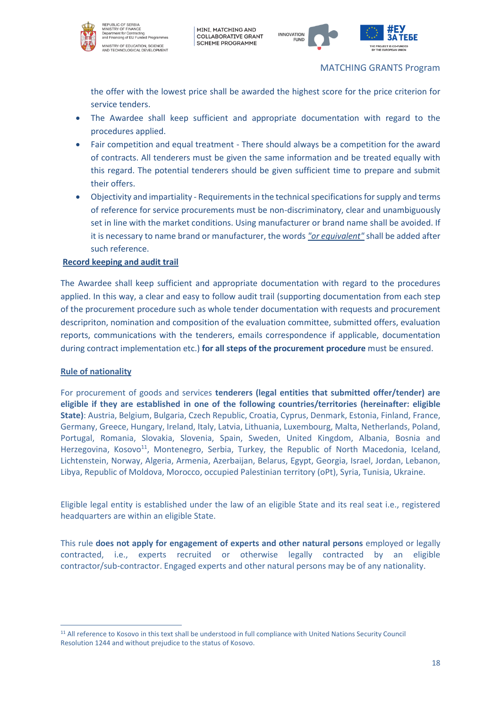



MATCHING GRANTS Program

the offer with the lowest price shall be awarded the highest score for the price criterion for service tenders.

- The Awardee shall keep sufficient and appropriate documentation with regard to the procedures applied.
- Fair competition and equal treatment There should always be a competition for the award of contracts. All tenderers must be given the same information and be treated equally with this regard. The potential tenderers should be given sufficient time to prepare and submit their offers.
- Objectivity and impartiality Requirements in the technical specifications for supply and terms of reference for service procurements must be non-discriminatory, clear and unambiguously set in line with the market conditions. Using manufacturer or brand name shall be avoided. If it is necessary to name brand or manufacturer, the words *"or equivalent"* shall be added after such reference.

#### **Record keeping and audit trail**

The Awardee shall keep sufficient and appropriate documentation with regard to the procedures applied. In this way, a clear and easy to follow audit trail (supporting documentation from each step of the procurement procedure such as whole tender documentation with requests and procurement descripriton, nomination and composition of the evaluation committee, submitted offers, evaluation reports, communications with the tenderers, emails correspondence if applicable, documentation during contract implementation etc.) **for all steps of the procurement procedure** must be ensured.

#### **Rule of nationality**

For procurement of goods and services **tenderers (legal entities that submitted offer/tender) are eligible if they are established in one of the following countries/territories (hereinafter: eligible State)**: Austria, Belgium, Bulgaria, Czech Republic, Croatia, Cyprus, Denmark, Estonia, Finland, France, Germany, Greece, Hungary, Ireland, Italy, Latvia, Lithuania, Luxembourg, Malta, Netherlands, Poland, Portugal, Romania, Slovakia, Slovenia, Spain, Sweden, United Kingdom, Albania, Bosnia and Herzegovina, Kosovo<sup>11</sup>, Montenegro, Serbia, Turkey, the Republic of North Macedonia, Iceland, Lichtenstein, Norway, Algeria, Armenia, Azerbaijan, Belarus, Egypt, Georgia, Israel, Jordan, Lebanon, Libya, Republic of Moldova, Morocco, occupied Palestinian territory (oPt), Syria, Tunisia, Ukraine.

Eligible legal entity is established under the law of an eligible State and its real seat i.e., registered headquarters are within an eligible State.

Тhis rule **does not apply for engagement of experts and other natural persons** employed or legally contracted, i.e., experts recruited or otherwise legally contracted by an eligible contractor/sub‑contractor. Engaged experts and other natural persons may be of any nationality.

<sup>11</sup> All reference to Kosovo in this text shall be understood in full compliance with United Nations Security Council Resolution 1244 and without prejudice to the status of Kosovo.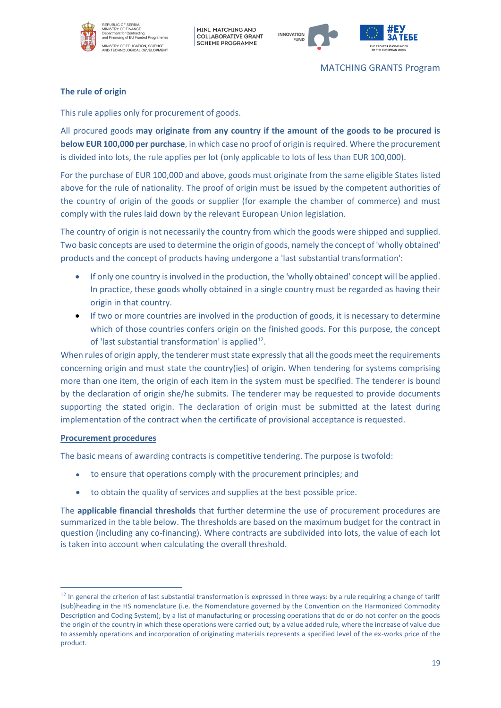



#### MATCHING GRANTS Program

#### **The rule of origin**

This rule applies only for procurement of goods.

All procured goods **may originate from any country if the amount of the goods to be procured is below EUR 100,000 per purchase**, in which case no proof of origin is required. Where the procurement is divided into lots, the rule applies per lot (only applicable to lots of less than EUR 100,000).

For the purchase of EUR 100,000 and above, goods must originate from the same eligible States listed above for the rule of nationality. The proof of origin must be issued by the competent authorities of the country of origin of the goods or supplier (for example the chamber of commerce) and must comply with the rules laid down by the relevant European Union legislation.

The country of origin is not necessarily the country from which the goods were shipped and supplied. Two basic concepts are used to determine the origin of goods, namely the concept of 'wholly obtained' products and the concept of products having undergone a 'last substantial transformation':

- If only one country is involved in the production, the 'wholly obtained' concept will be applied. In practice, these goods wholly obtained in a single country must be regarded as having their origin in that country.
- If two or more countries are involved in the production of goods, it is necessary to determine which of those countries confers origin on the finished goods. For this purpose, the concept of 'last substantial transformation' is applied<sup>12</sup>.

When rules of origin apply, the tenderer must state expressly that all the goods meet the requirements concerning origin and must state the country(ies) of origin. When tendering for systems comprising more than one item, the origin of each item in the system must be specified. The tenderer is bound by the declaration of origin she/he submits. The tenderer may be requested to provide documents supporting the stated origin. The declaration of origin must be submitted at the latest during implementation of the contract when the certificate of provisional acceptance is requested.

#### **Procurement procedures**

The basic means of awarding contracts is competitive tendering. The purpose is twofold:

- to ensure that operations comply with the procurement principles; and
- to obtain the quality of services and supplies at the best possible price.

The **applicable financial thresholds** that further determine the use of procurement procedures are summarized in the table below. The thresholds are based on the maximum budget for the contract in question (including any co-financing). Where contracts are subdivided into lots, the value of each lot is taken into account when calculating the overall threshold.

 $12$  In general the criterion of last substantial transformation is expressed in three ways: by a rule requiring a change of tariff (sub)heading in the HS nomenclature (i.e. the Nomenclature governed by the Convention on the Harmonized Commodity Description and Coding System); by a list of manufacturing or processing operations that do or do not confer on the goods the origin of the country in which these operations were carried out; by a value added rule, where the increase of value due to assembly operations and incorporation of originating materials represents a specified level of the ex-works price of the product.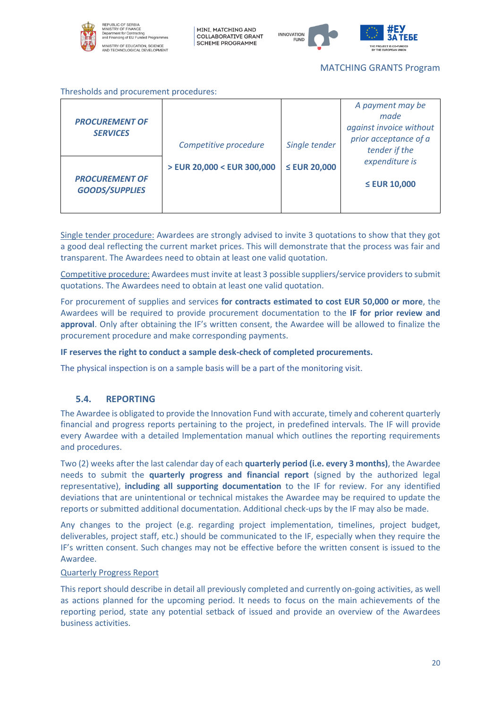



#### MATCHING GRANTS Program

Thresholds and procurement procedures:

| <b>PROCUREMENT OF</b>                          |                            |                   | A payment may be<br>made               |
|------------------------------------------------|----------------------------|-------------------|----------------------------------------|
| <b>SERVICES</b>                                |                            |                   | against invoice without                |
|                                                | Competitive procedure      | Single tender     | prior acceptance of a<br>tender if the |
|                                                | > EUR 20,000 < EUR 300,000 | $\leq$ EUR 20,000 | expenditure is                         |
| <b>PROCUREMENT OF</b><br><b>GOODS/SUPPLIES</b> |                            |                   | $\leq$ EUR 10,000                      |

Single tender procedure: Awardees are strongly advised to invite 3 quotations to show that they got a good deal reflecting the current market prices. This will demonstrate that the process was fair and transparent. The Awardees need to obtain at least one valid quotation.

Competitive procedure: Awardees must invite at least 3 possible suppliers/service providers to submit quotations. The Awardees need to obtain at least one valid quotation.

For procurement of supplies and services **for contracts estimated to cost EUR 50,000 or more**, the Awardees will be required to provide procurement documentation to the **IF for prior review and approval**. Only after obtaining the IF's written consent, the Awardee will be allowed to finalize the procurement procedure and make corresponding payments.

#### **IF reserves the right to conduct a sample desk-check of completed procurements.**

The physical inspection is on a sample basis will be a part of the monitoring visit.

#### **5.4. REPORTING**

<span id="page-23-0"></span>The Awardee is obligated to provide the Innovation Fund with accurate, timely and coherent quarterly financial and progress reports pertaining to the project, in predefined intervals. The IF will provide every Awardee with a detailed Implementation manual which outlines the reporting requirements and procedures.

Two (2) weeks after the last calendar day of each **quarterly period (i.e. every 3 months)**, the Awardee needs to submit the **quarterly progress and financial report** (signed by the authorized legal representative), **including all supporting documentation** to the IF for review. For any identified deviations that are unintentional or technical mistakes the Awardee may be required to update the reports or submitted additional documentation. Additional check-ups by the IF may also be made.

Any changes to the project (e.g. regarding project implementation, timelines, project budget, deliverables, project staff, etc.) should be communicated to the IF, especially when they require the IF's written consent. Such changes may not be effective before the written consent is issued to the Awardee.

#### Quarterly Progress Report

This report should describe in detail all previously completed and currently on-going activities, as well as actions planned for the upcoming period. It needs to focus on the main achievements of the reporting period, state any potential setback of issued and provide an overview of the Awardees business activities.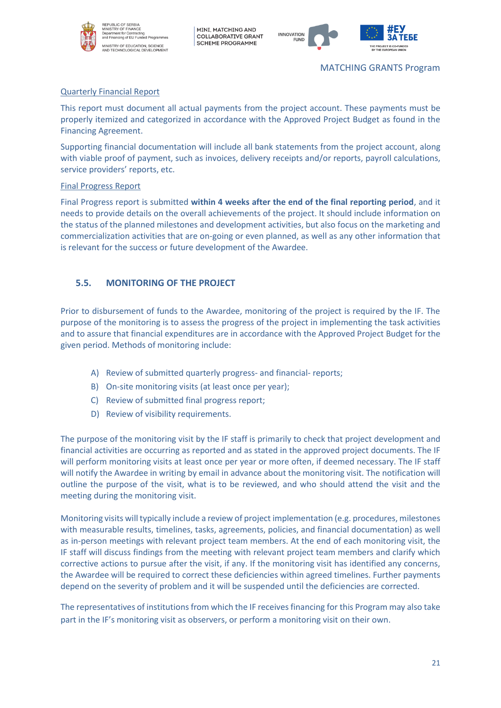



#### MATCHING GRANTS Program

#### Quarterly Financial Report

This report must document all actual payments from the project account. These payments must be properly itemized and categorized in accordance with the Approved Project Budget as found in the Financing Agreement.

Supporting financial documentation will include all bank statements from the project account, along with viable proof of payment, such as invoices, delivery receipts and/or reports, payroll calculations, service providers' reports, etc.

#### Final Progress Report

Final Progress report is submitted **within 4 weeks after the end of the final reporting period**, and it needs to provide details on the overall achievements of the project. It should include information on the status of the planned milestones and development activities, but also focus on the marketing and commercialization activities that are on-going or even planned, as well as any other information that is relevant for the success or future development of the Awardee.

# <span id="page-24-0"></span>**5.5. MONITORING OF THE PROJECT**

Prior to disbursement of funds to the Awardee, monitoring of the project is required by the IF. The purpose of the monitoring is to assess the progress of the project in implementing the task activities and to assure that financial expenditures are in accordance with the Approved Project Budget for the given period. Methods of monitoring include:

- A) Review of submitted quarterly progress- and financial- reports;
- B) On-site monitoring visits (at least once per year);
- C) Review of submitted final progress report;
- D) Review of visibility requirements.

The purpose of the monitoring visit by the IF staff is primarily to check that project development and financial activities are occurring as reported and as stated in the approved project documents. The IF will perform monitoring visits at least once per year or more often, if deemed necessary. The IF staff will notify the Awardee in writing by email in advance about the monitoring visit. The notification will outline the purpose of the visit, what is to be reviewed, and who should attend the visit and the meeting during the monitoring visit.

Monitoring visits will typically include a review of project implementation (e.g. procedures, milestones with measurable results, timelines, tasks, agreements, policies, and financial documentation) as well as in-person meetings with relevant project team members. At the end of each monitoring visit, the IF staff will discuss findings from the meeting with relevant project team members and clarify which corrective actions to pursue after the visit, if any. If the monitoring visit has identified any concerns, the Awardee will be required to correct these deficiencies within agreed timelines. Further payments depend on the severity of problem and it will be suspended until the deficiencies are corrected.

The representatives of institutions from which the IF receives financing for this Program may also take part in the IF's monitoring visit as observers, or perform a monitoring visit on their own.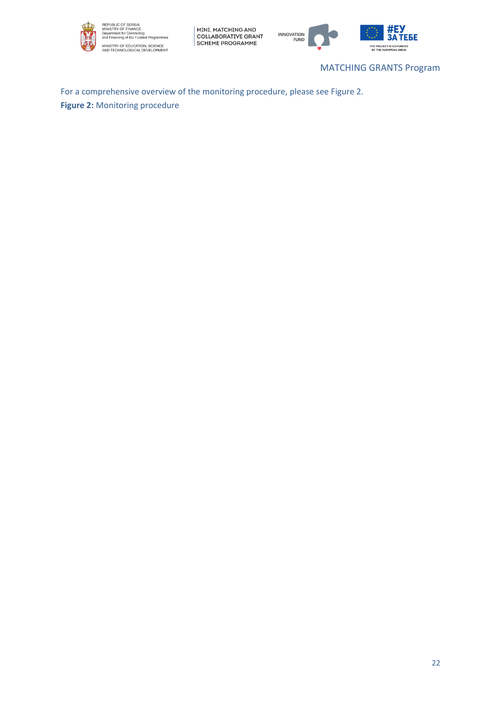



MATCHING GRANTS Program

БЕ

For a comprehensive overview of the monitoring procedure, please see Figure 2. **Figure 2:** Monitoring procedure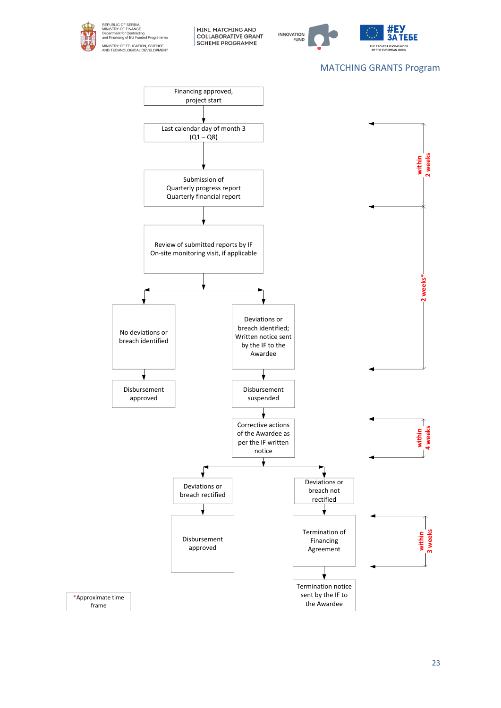



# MATCHING GRANTS Program



23